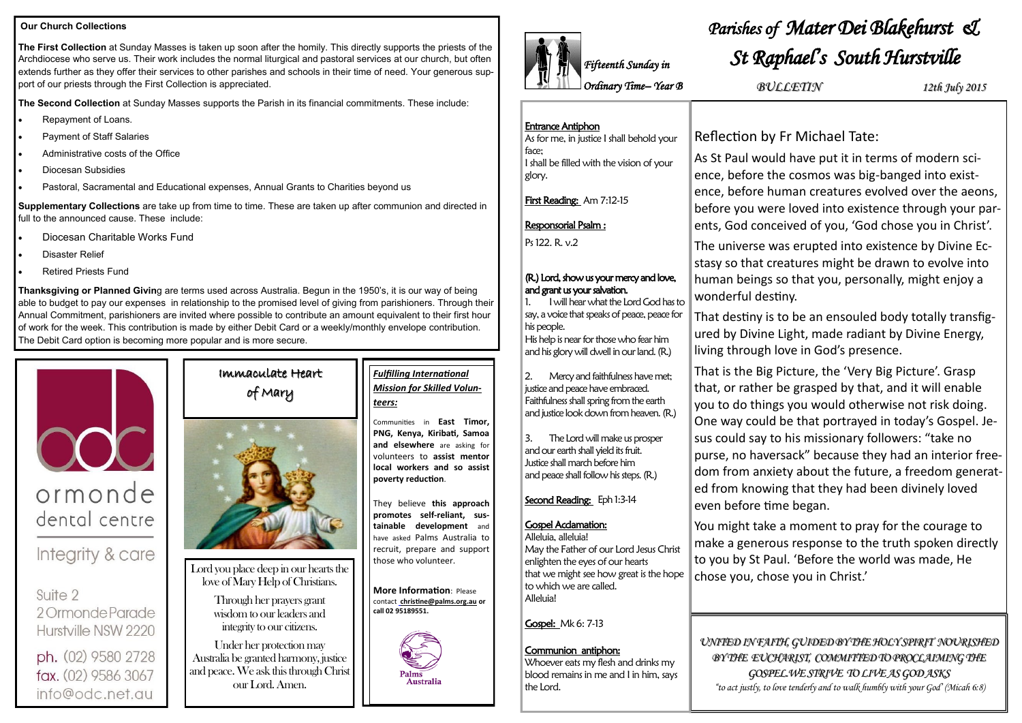## Immaculate Heart of Mary



Lord you place deep in our hearts the love of Mary Help of Christians.

> Through her prayers grant wisdom to our leaders and integrity to our citizens.

Under her protection may Australia be granted harmony, justice and peace. We ask this through Christ our Lord. Amen.

#### **Our Church Collections**

**The First Collection** at Sunday Masses is taken up soon after the homily. This directly supports the priests of the Archdiocese who serve us. Their work includes the normal liturgical and pastoral services at our church, but often extends further as they offer their services to other parishes and schools in their time of need. Your generous support of our priests through the First Collection is appreciated.

**The Second Collection** at Sunday Masses supports the Parish in its financial commitments. These include:

- Repayment of Loans.
- Payment of Staff Salaries
- Administrative costs of the Office
- Diocesan Subsidies
- Pastoral, Sacramental and Educational expenses, Annual Grants to Charities beyond us

**Supplementary Collections** are take up from time to time. These are taken up after communion and directed in full to the announced cause. These include:

- Diocesan Charitable Works Fund
- Disaster Relief
- Retired Priests Fund

**Thanksgiving or Planned Givin**g are terms used across Australia. Begun in the 1950's, it is our way of being able to budget to pay our expenses in relationship to the promised level of giving from parishioners. Through their Annual Commitment, parishioners are invited where possible to contribute an amount equivalent to their first hour of work for the week. This contribution is made by either Debit Card or a weekly/monthly envelope contribution. The Debit Card option is becoming more popular and is more secure.



## ormonde dental centre

Integrity & care

Suite 2 2 Ormonde Parade Hurstville NSW 2220

ph. (02) 9580 2728 fax. (02) 9586 3067 info@odc.net.au

## *Fulfilling International Mission for Skilled Volunteers:*

Communities in **East Timor, PNG, Kenya, Kiribati, Samoa and elsewhere** are asking for volunteers to **assist mentor local workers and so assist poverty reduction**.

They believe **this approach promotes self-reliant, sustainable development** and have asked Palms Australia to recruit, prepare and support those who volunteer.

**More Information**: Please contact **[christine@palms.org.au](mailto:roger@palms.org.au) or call 02 95189551.**



The Lord will make us prosper and our earth shall yield its fruit. Justice shall march before him and peace shall follow his steps. (R.)

# *Parishes of Mater Dei Blakehurst & St Raphael's South Hurstville*

Reflection by Fr Michael Tate:

As St Paul would have put it in terms of modern science, before the cosmos was big-banged into existence, before human creatures evolved over the aeons, before you were loved into existence through your parents, God conceived of you, 'God chose you in Christ'.

The universe was erupted into existence by Divine Ecstasy so that creatures might be drawn to evolve into human beings so that you, personally, might enjoy a wonderful destiny.

That destiny is to be an ensouled body totally transfigured by Divine Light, made radiant by Divine Energy, living through love in God's presence.

That is the Big Picture, the 'Very Big Picture'. Grasp that, or rather be grasped by that, and it will enable you to do things you would otherwise not risk doing. One way could be that portrayed in today's Gospel. Jesus could say to his missionary followers: "take no purse, no haversack" because they had an interior freedom from anxiety about the future, a freedom generated from knowing that they had been divinely loved even before time began.

You might take a moment to pray for the courage to make a generous response to the truth spoken directly to you by St Paul. 'Before the world was made, He chose you, chose you in Christ.'

*UNITED IN FAITH, GUIDED BY THE HOLY SPIRIT NOURISHED BY THE EUCHARIST, COMMITTED TO PROCLAIMING THE GOSPEL.WE STRIVE TO LIVE AS GOD ASKS "to act justly, to love tenderly and to walk humbly with your God' (Micah 6:8)*

*BULLETIN 12th July 2015*

## Entrance Antiphon

As for me, in justice I shall behold your face; I shall be filled with the vision of your glory.

First Reading: Am 7:12-15

### Responsorial Psalm :

Ps 122. R. v.2

#### (R.) Lord, show us your mercy and love, and grant us your salvation.

1. I will hear what the Lord God has to say, a voice that speaks of peace, peace for his people.

His help is near for those who fear him and his glory will dwell in our land. (R.)

2. Mercy and faithfulness have met; justice and peace have embraced. Faithfulness shall spring from the earth and justice look down from heaven. (R.)

Second Reading: Eph 1:3-14

### Gospel Acclamation:

Alleluia, alleluia! May the Father of our Lord Jesus Christ enlighten the eyes of our hearts that we might see how great is the hope to which we are called. Alleluia!



#### Communion antiphon: Whoever eats my flesh and drinks my blood remains in me and I in him, says

the Lord.

# *Fifteenth Sunday in Ordinary Time– Year B*